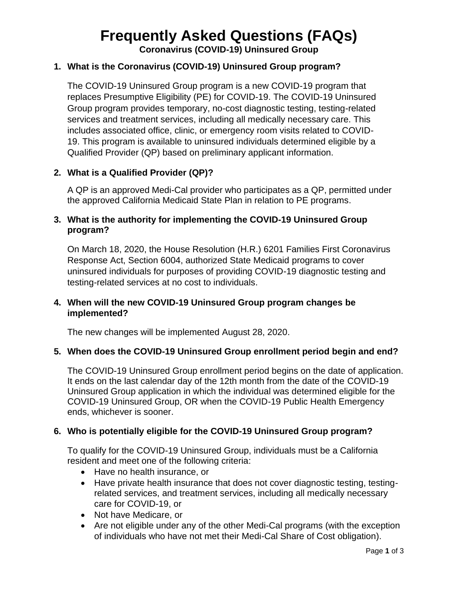# **Frequently Asked Questions (FAQs)**

**Coronavirus (COVID-19) Uninsured Group**

### **1. What is the Coronavirus (COVID-19) Uninsured Group program?**

The COVID-19 Uninsured Group program is a new COVID-19 program that replaces Presumptive Eligibility (PE) for COVID-19. The COVID-19 Uninsured Group program provides temporary, no-cost diagnostic testing, testing-related services and treatment services, including all medically necessary care. This includes associated office, clinic, or emergency room visits related to COVID-19. This program is available to uninsured individuals determined eligible by a Qualified Provider (QP) based on preliminary applicant information.

#### **2. What is a Qualified Provider (QP)?**

A QP is an approved Medi-Cal provider who participates as a QP, permitted under the approved California Medicaid State Plan in relation to PE programs.

#### **3. What is the authority for implementing the COVID-19 Uninsured Group program?**

On March 18, 2020, the House Resolution (H.R.) 6201 Families First Coronavirus Response Act, Section 6004, authorized State Medicaid programs to cover uninsured individuals for purposes of providing COVID-19 diagnostic testing and testing-related services at no cost to individuals.

#### **4. When will the new COVID-19 Uninsured Group program changes be implemented?**

The new changes will be implemented August 28, 2020.

#### **5. When does the COVID-19 Uninsured Group enrollment period begin and end?**

The COVID-19 Uninsured Group enrollment period begins on the date of application. It ends on the last calendar day of the 12th month from the date of the COVID-19 Uninsured Group application in which the individual was determined eligible for the COVID-19 Uninsured Group, OR when the COVID-19 Public Health Emergency ends, whichever is sooner.

#### **6. Who is potentially eligible for the COVID-19 Uninsured Group program?**

To qualify for the COVID-19 Uninsured Group, individuals must be a California resident and meet one of the following criteria:

- Have no health insurance, or
- Have private health insurance that does not cover diagnostic testing, testingrelated services, and treatment services, including all medically necessary care for COVID-19, or
- Not have Medicare, or
- Are not eligible under any of the other Medi-Cal programs (with the exception of individuals who have not met their Medi-Cal Share of Cost obligation).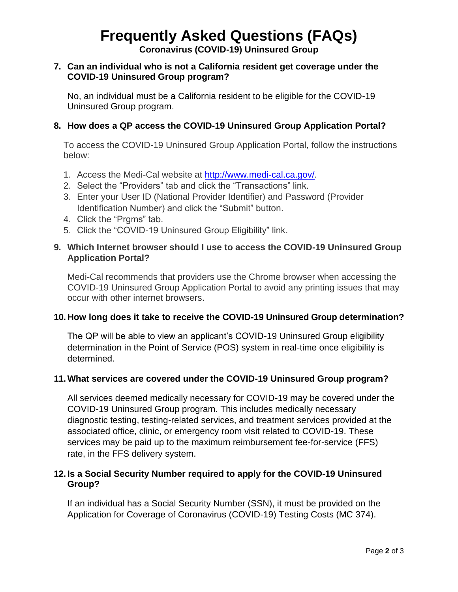# **Frequently Asked Questions (FAQs)**

**Coronavirus (COVID-19) Uninsured Group**

#### **7. Can an individual who is not a California resident get coverage under the COVID-19 Uninsured Group program?**

No, an individual must be a California resident to be eligible for the COVID-19 Uninsured Group program.

## **8. How does a QP access the COVID-19 Uninsured Group Application Portal?**

To access the COVID-19 Uninsured Group Application Portal, follow the instructions below:

- 1. Access the Medi-Cal website at [http://www.medi-cal.ca.gov/.](http://www.medi-cal.ca.gov/)
- 2. Select the "Providers" tab and click the "Transactions" link.
- 3. Enter your User ID (National Provider Identifier) and Password (Provider Identification Number) and click the "Submit" button.
- 4. Click the "Prgms" tab.
- 5. Click the "COVID-19 Uninsured Group Eligibility" link.

#### **9. Which Internet browser should I use to access the COVID-19 Uninsured Group Application Portal?**

Medi-Cal recommends that providers use the Chrome browser when accessing the COVID-19 Uninsured Group Application Portal to avoid any printing issues that may occur with other internet browsers.

#### **10.How long does it take to receive the COVID-19 Uninsured Group determination?**

The QP will be able to view an applicant's COVID-19 Uninsured Group eligibility determination in the Point of Service (POS) system in real-time once eligibility is determined.

#### **11.What services are covered under the COVID-19 Uninsured Group program?**

All services deemed medically necessary for COVID-19 may be covered under the COVID-19 Uninsured Group program. This includes medically necessary diagnostic testing, testing-related services, and treatment services provided at the associated office, clinic, or emergency room visit related to COVID-19. These services may be paid up to the maximum reimbursement fee-for-service (FFS) rate, in the FFS delivery system.

#### **12. Is a Social Security Number required to apply for the COVID-19 Uninsured Group?**

If an individual has a Social Security Number (SSN), it must be provided on the Application for Coverage of Coronavirus (COVID-19) Testing Costs (MC 374).